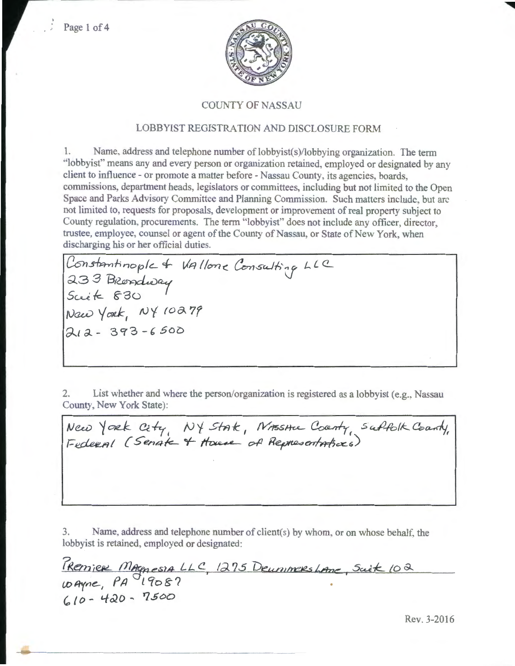

#### COUNTY OF NASSAU

### LOBBYIST REGISTRATION AND DISCLOSURE FORM

1. Name. address and telephone number of lobbyist(s)/lobbying organization. The term "lobbyist" means any and every person or organization retained, employed or designated by any client to influence- or promote a matter before- Nassau County, its agencies, boards, commissions, department heads, legislators or committees, including but not limited to the Open Space and Parks Advisory Committee and Planning Commission. Such matters include, but arc not limited to, requests for proposals, development or improvement of real property subject to County regulation, procurements. The term ''lobbyist" does not include any officer. director trustee, employee, counsel or agent of the County of Nassau, or State of New York, when discharging his or her official duties.

Constantinople + Vallone Consulting LLC 233 Brendway *Swk-* ~3o Naw York, NY 10279  $212 - 393 - 6500$ 

2. List whether and where the person/organization is registered as a lobbyist (e.g., Nassau County, New York State):

New York City, NY State, NASSHIL County, Suffolk County,<br>Federal (Senate + House of Representations)

3. Name, address and telephone number of client(s) by whom, or on whose behalf, the lobbyist is retained, employed or designated:

 $\omega$ Ayne,  $PA$ <sup>19</sup>08?  $610 - 420 - 7500$ 

Rev. 3-2016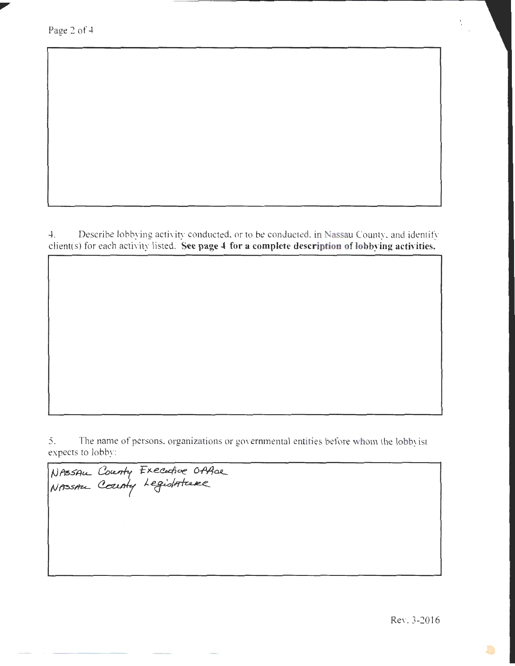Page 2 of 4

4. Describe lobbying activity conducted, or to be conducted, in Nassau County, and identify client(s) for each activity listed. **See page 4 for a complete description of lobbying activities.** 

5. The name of persons, organizations or governmental entities before whom the lobbyist expects to lobby:

NASSAU County Executive Office

Rev. 3-2016

S

 $\frac{1}{2}$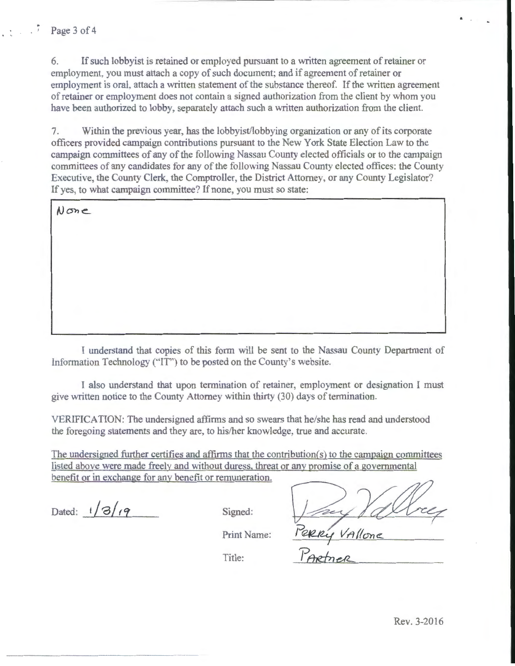6. If such lobbyist is retained or employed pursuant to a written agreement of retainer or employment, you must attach a copy of such document; and if agreement of retainer or employment is oral, attach a written statement of the substance thereof. If the written agreement of retainer or employment does not contain a signed authorization from the client by whom you have been authorized to lobby. separately attach such a written authorization from the client.

7. Within the previous year, has the lobbyist/lobbying organization or any of its corporate officers provided campaign contributions pursuant to the New York State Election Law to the campaign committees of any of the following Nassau County elected officials or to the campaign committees of any candidates for any of the following Nassau County elected offices: the County Executive, the County Clerk, the Comptroller, the District Attorney, or any County Legislator? If yes, to what campaign committee? If none, you must so state:

 $N$ one

I understand that copies of this form will be sent to the Nassau County Department of Information Technology ("IT") to be posted on the County's website.

I also understand that upon termination of retainer, employment or designation I must give written notice to the County Attorney within thirty (30) days of termination.

VERIFICATION: The undersigned affirms and so swears that he/she has read and understood the foregoing statements and they are, to his/her knowledge, true and accurate.

The undersigned further certifies and affirms that the contribution(s) to the campaign committees listed above were made freelv and without duress. threat or any promise of a governmental benefit or in exchange for any benefit or remuneration.

Print Name:

Dated:  $1/3/19$  Signed:

Perry Vallone

Title: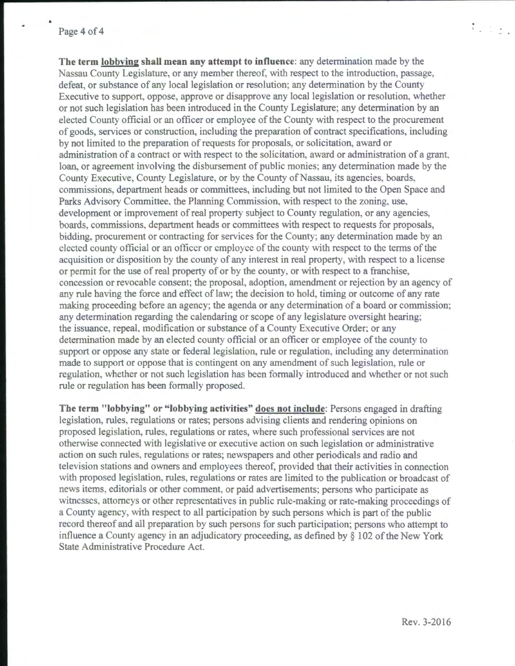## Page 4 of 4

**A** 

**The term lobbying shall mean any attempt to influence:** any determination made by the Nassau County Legislature, or any member thereof. with respect to the introduction, passage, defeat, or substance of any local legislation or resolution; any determination by the County Executive to support, oppose, approve or disapprove any local legislation or resolution, whether or not such legislation has been introduced in the County Legislature; any determination by an elected County official or an officer or employee of the County with respect to the procurement of goods, services or construction, including the preparation of contract specifications, including by not limited to the preparation of requests for proposals, or solicitation, award or administration of a contract or with respect to the solicitation, award or administration of a grant. loan, or agreement involving the disbursement of public monies; any determination made by the County Executive, County Legislature, or by the County of Nassau, its agencies, boards, commissions, department heads or committees, including but not limited to the Open Space and Parks Advisory Committee, the Planning Commission, with respect to the zoning, use, development or improvement of real property subject to County regulation, or any agencies, boards, commissions, department heads or committees with respect to requests for proposals, bidding. procurement or contracting for services for the County; any determination made by an elected county official or an officer or employee of the county with respect to the terms of the acquisition or disposition by the county of any interest in real property, with respect to a license or permit for the use of real property of or by the county, or with respect to a franchise, concession or revocable consent; the proposal, adoption, amendment or rejection by an agency of any rule having the force and effect of law; the decision to hold, timing or outcome of any rate making proceeding before an agency; the agenda or any determination of a board or commission; any determination regarding the calendaring or scope of any legislature oversight hearing; the issuance, repeal, modification or substance of a County Executive Order; or any determination made by an elected county official or an officer or employee of the county to support or oppose any state or federal legislation, rule or regulation, including any determination made to support or oppose that is contingent on any amendment of such legislation. rule or regulation, whether or not such legislation has been formally introduced and whether or not such rule or regulation has been formally proposed.

**The term "lobbying" or "lobbying activities" does not include:** Persons engaged in drafting legislation, rules, regulations or rates; persons advising clients and rendering opinions on proposed legislation, rules, regulations or rates, where such professional services are not otherwise connected with legislative or executive action on such legislation or administrative action on such rules, regulations or rates; newspapers and other periodicals and radio and television stations and owners and employees thereof, provided that their activities in connection with proposed legislation, rules, regulations or rates are limited to the publication or broadcast of news items. editorials or other comment, or paid advertisements; persons who participate as witnesses. attorneys or other representatives in public rule-making or rate-making proceedings of a County agency, with respect to all participation by such persons which is part of the public record thereof and all preparation by such persons for such participation; persons who attempt to influence a County agency in an adjudicatory proceeding, as defined by § 102 of the New York State Administrative Procedme Act.

Rev. 3-2016